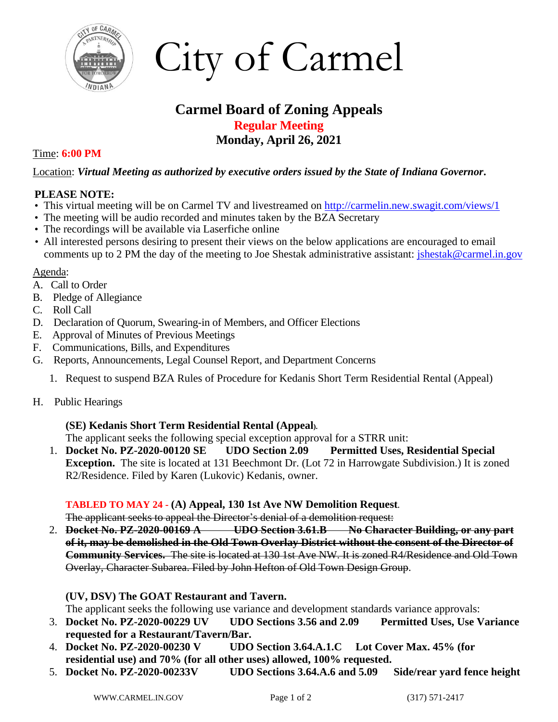

City of Carmel

# **Carmel Board of Zoning Appeals Regular Meeting Monday, April 26, 2021**

## Time: **6:00 PM**

Location: *Virtual Meeting as authorized by executive orders issued by the State of Indiana Governor***.** 

## **PLEASE NOTE:**

- This virtual meeting will be on Carmel TV and livestreamed on <http://carmelin.new.swagit.com/views/1>
- The meeting will be audio recorded and minutes taken by the BZA Secretary
- The recordings will be available via Laserfiche online
- All interested persons desiring to present their views on the below applications are encouraged to email comments up to 2 PM the day of the meeting to Joe Shestak administrative assistant: *jshestak@carmel.in.gov*

#### Agenda:

- A. Call to Order
- B. Pledge of Allegiance
- C. Roll Call
- D. Declaration of Quorum, Swearing-in of Members, and Officer Elections
- E. Approval of Minutes of Previous Meetings
- F. Communications, Bills, and Expenditures
- G. Reports, Announcements, Legal Counsel Report, and Department Concerns
	- 1. Request to suspend BZA Rules of Procedure for Kedanis Short Term Residential Rental (Appeal)
- H. Public Hearings

# **(SE) Kedanis Short Term Residential Rental (Appeal).**

The applicant seeks the following special exception approval for a STRR unit:

1. **Docket No. PZ-2020-00120 SE UDO Section 2.09 Permitted Uses, Residential Special Exception.** The site is located at 131 Beechmont Dr. (Lot 72 in Harrowgate Subdivision.) It is zoned R2/Residence. Filed by Karen (Lukovic) Kedanis, owner.

### **TABLED TO MAY 24 - (A) Appeal, 130 1st Ave NW Demolition Request.**

The applicant seeks to appeal the Director's denial of a demolition request:

2. **Docket No. PZ-2020-00169 A UDO Section 3.61.B No Character Building, or any part of it, may be demolished in the Old Town Overlay District without the consent of the Director of Community Services.** The site is located at 130 1st Ave NW. It is zoned R4/Residence and Old Town Overlay, Character Subarea. Filed by John Hefton of Old Town Design Group.

# **(UV, DSV) The GOAT Restaurant and Tavern.**

The applicant seeks the following use variance and development standards variance approvals:

- 3. **Docket No. PZ-2020-00229 UV UDO Sections 3.56 and 2.09 Permitted Uses, Use Variance requested for a Restaurant/Tavern/Bar.**
- 4. **Docket No. PZ-2020-00230 V UDO Section 3.64.A.1.C Lot Cover Max. 45% (for residential use) and 70% (for all other uses) allowed, 100% requested.**
- 5. **Docket No. PZ-2020-00233V UDO Sections 3.64.A.6 and 5.09 Side/rear yard fence height**